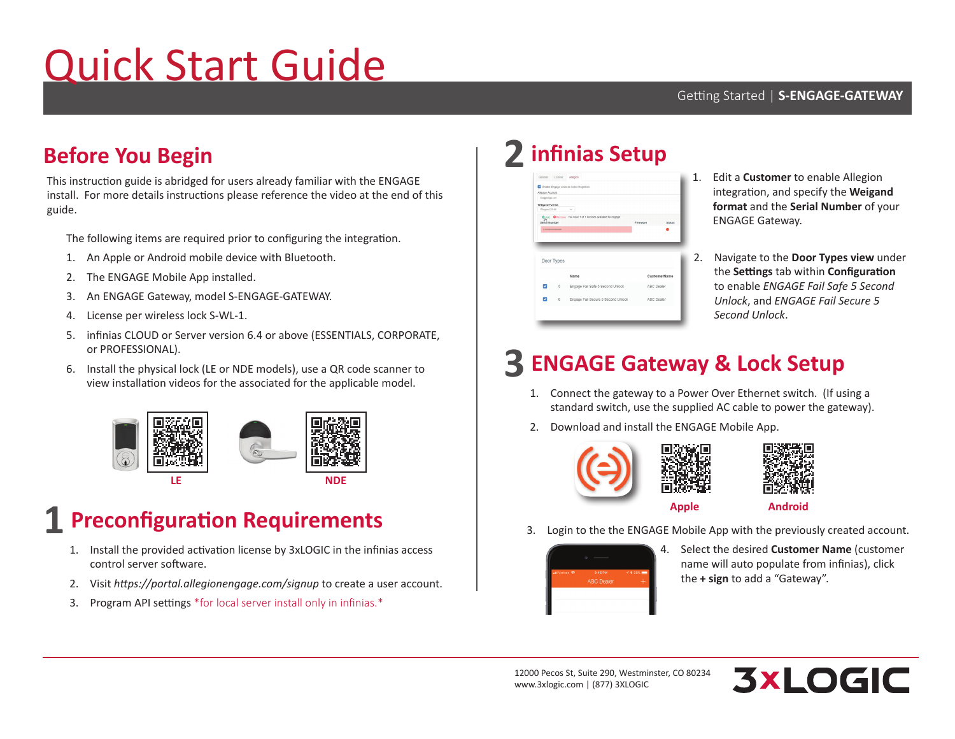# Quick Start Guide

### **Before You Begin**

This instruction guide is abridged for users already familiar with the ENGAGE install. For more details instructions please reference the video at the end of this guide.

The following items are required prior to configuring the integration.

- 1. An Apple or Android mobile device with Bluetooth.
- 2. The ENGAGE Mobile App installed.
- 3. An ENGAGE Gateway, model S-ENGAGE-GATEWAY.
- 4. License per wireless lock S-WL-1.
- 5. infinias CLOUD or Server version 6.4 or above (ESSENTIALS, CORPORATE, or PROFESSIONAL).
- 6. Install the physical lock (LE or NDE models), use a QR code scanner to view installation videos for the associated for the applicable model.



### **Preconfiguration Requirements 1**

- 1. Install the provided activation license by 3xLOGIC in the infinias access control server software.
- 2. Visit *https://portal.allegionengage.com/signup* to create a user account.
- 3. Program API settings \*for local server install only in infinias.\*

## **infinias Setup 2**

| Allegion Account:                                                            |            |                                    |            |               |
|------------------------------------------------------------------------------|------------|------------------------------------|------------|---------------|
| nick@3dopic.com                                                              |            |                                    |            |               |
| Wiegand Format                                                               |            |                                    |            |               |
| Wiegard 26-bit                                                               |            | $\ddot{}$                          |            |               |
| C Add C Remove You have 1 of 1 licenses available for engage.<br>Send Number |            |                                    | Firmware   | <b>Status</b> |
| 810000000000000                                                              |            |                                    |            |               |
|                                                                              |            |                                    |            |               |
|                                                                              |            |                                    |            |               |
|                                                                              |            |                                    |            |               |
|                                                                              |            |                                    |            |               |
|                                                                              | Door Types |                                    |            |               |
|                                                                              |            |                                    |            |               |
|                                                                              |            | Name                               |            |               |
| ø                                                                            | 5          | Engage Fail Safe 5 Second Unlock   | ABC Dealer |               |
|                                                                              |            |                                    |            | CustomerName  |
|                                                                              | 6          | Engage Fail Secure 5 Second Unlock | ABC Dealer |               |

- 1. Edit a **Customer** to enable Allegion integration, and specify the **Weigand format** and the **Serial Number** of your ENGAGE Gateway.
- 2. Navigate to the **Door Types view** under the **Settings** tab within **Configuration** to enable *ENGAGE Fail Safe 5 Second Unlock*, and *ENGAGE Fail Secure 5 Second Unlock*.

## **ENGAGE Gateway & Lock Setup 3**

- 1. Connect the gateway to a Power Over Ethernet switch. (If using a standard switch, use the supplied AC cable to power the gateway).
- 2. Download and install the ENGAGE Mobile App.





- **Android**
- 3. Login to the the ENGAGE Mobile App with the previously created account.



4. Select the desired **Customer Name** (customer name will auto populate from infinias), click the **+ sign** to add a "Gateway".

12000 Pecos St, Suite 290, Westminster, CO 80234 www.3xlogic.com | (877) 3XLOGIC